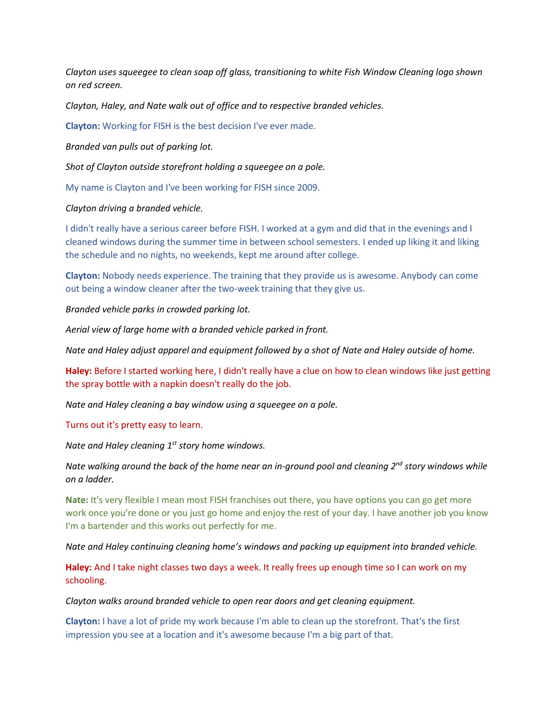*Clayton uses squeegee to clean soap off glass, transitioning to white Fish Window Cleaning logo shown on red screen.*

*Clayton, Haley, and Nate walk out of office and to respective branded vehicles.* 

**Clayton:** Working for FISH is the best decision I've ever made.

*Branded van pulls out of parking lot.*

*Shot of Clayton outside storefront holding a squeegee on a pole.*

My name is Clayton and I've been working for FISH since 2009.

*Clayton driving a branded vehicle.* 

I didn't really have a serious career before FISH. I worked at a gym and did that in the evenings and I cleaned windows during the summer time in between school semesters. I ended up liking it and liking the schedule and no nights, no weekends, kept me around after college.

**Clayton:** Nobody needs experience. The training that they provide us is awesome. Anybody can come out being a window cleaner after the two-week training that they give us.

*Branded vehicle parks in crowded parking lot.* 

*Aerial view of large home with a branded vehicle parked in front.* 

*Nate and Haley adjust apparel and equipment followed by a shot of Nate and Haley outside of home.* 

**Haley:** Before I started working here, I didn't really have a clue on how to clean windows like just getting the spray bottle with a napkin doesn't really do the job.

*Nate and Haley cleaning a bay window using a squeegee on a pole.*

Turns out it's pretty easy to learn.

*Nate and Haley cleaning 1st story home windows.* 

*Nate walking around the back of the home near an in-ground pool and cleaning 2nd story windows while on a ladder.*

**Nate:** It's very flexible I mean most FISH franchises out there, you have options you can go get more work once you're done or you just go home and enjoy the rest of your day. I have another job you know I'm a bartender and this works out perfectly for me.

*Nate and Haley continuing cleaning home's windows and packing up equipment into branded vehicle.* 

**Haley:** And I take night classes two days a week. It really frees up enough time so I can work on my schooling.

*Clayton walks around branded vehicle to open rear doors and get cleaning equipment.* 

**Clayton:** I have a lot of pride my work because I'm able to clean up the storefront. That's the first impression you see at a location and it's awesome because I'm a big part of that.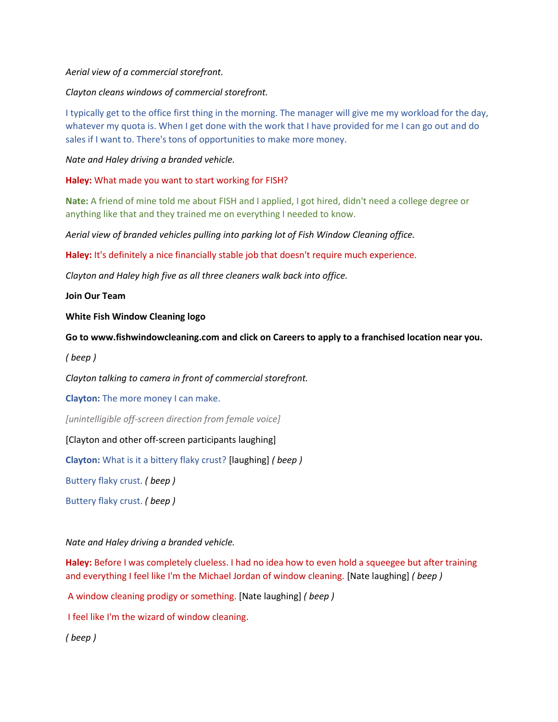## *Aerial view of a commercial storefront.*

## *Clayton cleans windows of commercial storefront.*

I typically get to the office first thing in the morning. The manager will give me my workload for the day, whatever my quota is. When I get done with the work that I have provided for me I can go out and do sales if I want to. There's tons of opportunities to make more money.

*Nate and Haley driving a branded vehicle.*

## **Haley:** What made you want to start working for FISH?

**Nate:** A friend of mine told me about FISH and I applied, I got hired, didn't need a college degree or anything like that and they trained me on everything I needed to know.

*Aerial view of branded vehicles pulling into parking lot of Fish Window Cleaning office.* 

**Haley:** It's definitely a nice financially stable job that doesn't require much experience.

*Clayton and Haley high five as all three cleaners walk back into office.* 

**Join Our Team**

**White Fish Window Cleaning logo**

**Go to www.fishwindowcleaning.com and click on Careers to apply to a franchised location near you.**

*( beep )*

*Clayton talking to camera in front of commercial storefront.* 

**Clayton:** The more money I can make.

*[unintelligible off-screen direction from female voice]*

[Clayton and other off-screen participants laughing]

**Clayton:** What is it a bittery flaky crust? [laughing] *( beep )*

Buttery flaky crust. *( beep )*

Buttery flaky crust. *( beep )*

*Nate and Haley driving a branded vehicle.*

**Haley:** Before I was completely clueless. I had no idea how to even hold a squeegee but after training and everything I feel like I'm the Michael Jordan of window cleaning. [Nate laughing] *( beep )*

A window cleaning prodigy or something. [Nate laughing] *( beep )*

I feel like I'm the wizard of window cleaning.

*( beep )*